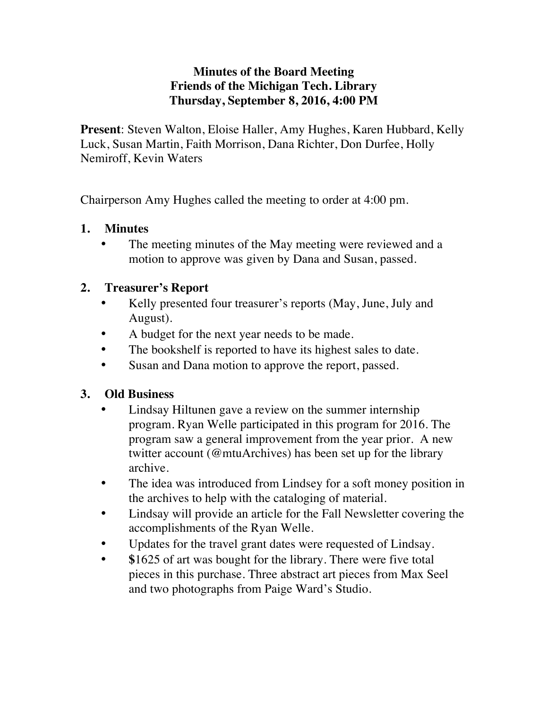### **Minutes of the Board Meeting Friends of the Michigan Tech. Library Thursday, September 8, 2016, 4:00 PM**

**Present**: Steven Walton, Eloise Haller, Amy Hughes, Karen Hubbard, Kelly Luck, Susan Martin, Faith Morrison, Dana Richter, Don Durfee, Holly Nemiroff, Kevin Waters

Chairperson Amy Hughes called the meeting to order at 4:00 pm.

### **1. Minutes**

• The meeting minutes of the May meeting were reviewed and a motion to approve was given by Dana and Susan, passed.

# **2. Treasurer's Report**

- Kelly presented four treasurer's reports (May, June, July and August).
- A budget for the next year needs to be made.
- The bookshelf is reported to have its highest sales to date.
- Susan and Dana motion to approve the report, passed.

# **3. Old Business**

- Lindsay Hiltunen gave a review on the summer internship program. Ryan Welle participated in this program for 2016. The program saw a general improvement from the year prior. A new twitter account (@mtuArchives) has been set up for the library archive.
- The idea was introduced from Lindsey for a soft money position in the archives to help with the cataloging of material.
- Lindsay will provide an article for the Fall Newsletter covering the accomplishments of the Ryan Welle.
- Updates for the travel grant dates were requested of Lindsay.
- **\$**1625 of art was bought for the library. There were five total pieces in this purchase. Three abstract art pieces from Max Seel and two photographs from Paige Ward's Studio.